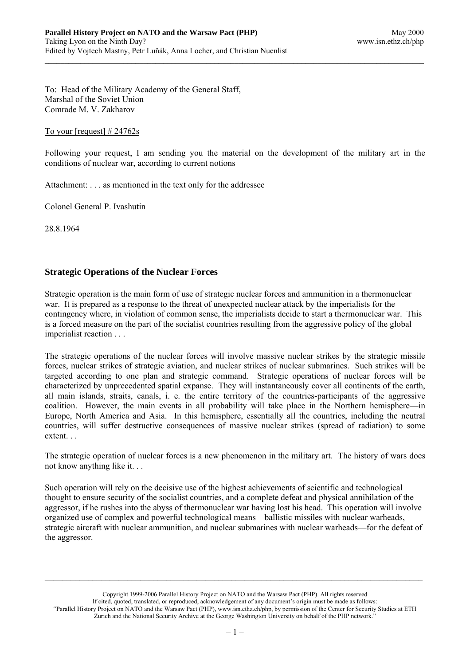To: Head of the Military Academy of the General Staff, Marshal of the Soviet Union Comrade M. V. Zakharov

### To your [request]  $\# 24762s$

Following your request, I am sending you the material on the development of the military art in the conditions of nuclear war, according to current notions

Attachment: . . . as mentioned in the text only for the addressee

Colonel General P. Ivashutin

28.8.1964

# **Strategic Operations of the Nuclear Forces**

Strategic operation is the main form of use of strategic nuclear forces and ammunition in a thermonuclear war. It is prepared as a response to the threat of unexpected nuclear attack by the imperialists for the contingency where, in violation of common sense, the imperialists decide to start a thermonuclear war. This is a forced measure on the part of the socialist countries resulting from the aggressive policy of the global imperialist reaction . . .

The strategic operations of the nuclear forces will involve massive nuclear strikes by the strategic missile forces, nuclear strikes of strategic aviation, and nuclear strikes of nuclear submarines. Such strikes will be targeted according to one plan and strategic command. Strategic operations of nuclear forces will be characterized by unprecedented spatial expanse. They will instantaneously cover all continents of the earth, all main islands, straits, canals, i. e. the entire territory of the countries-participants of the aggressive coalition. However, the main events in all probability will take place in the Northern hemisphere—in Europe, North America and Asia. In this hemisphere, essentially all the countries, including the neutral countries, will suffer destructive consequences of massive nuclear strikes (spread of radiation) to some extent. . .

The strategic operation of nuclear forces is a new phenomenon in the military art. The history of wars does not know anything like it. . .

Such operation will rely on the decisive use of the highest achievements of scientific and technological thought to ensure security of the socialist countries, and a complete defeat and physical annihilation of the aggressor, if he rushes into the abyss of thermonuclear war having lost his head. This operation will involve organized use of complex and powerful technological means—ballistic missiles with nuclear warheads, strategic aircraft with nuclear ammunition, and nuclear submarines with nuclear warheads—for the defeat of the aggressor.

Copyright 1999-2006 Parallel History Project on NATO and the Warsaw Pact (PHP). All rights reserved If cited, quoted, translated, or reproduced, acknowledgement of any document's origin must be made as follows: "Parallel History Project on NATO and the Warsaw Pact (PHP), www.isn.ethz.ch/php, by permission of the Center for Security Studies at ETH Zurich and the National Security Archive at the George Washington University on behalf of the PHP network."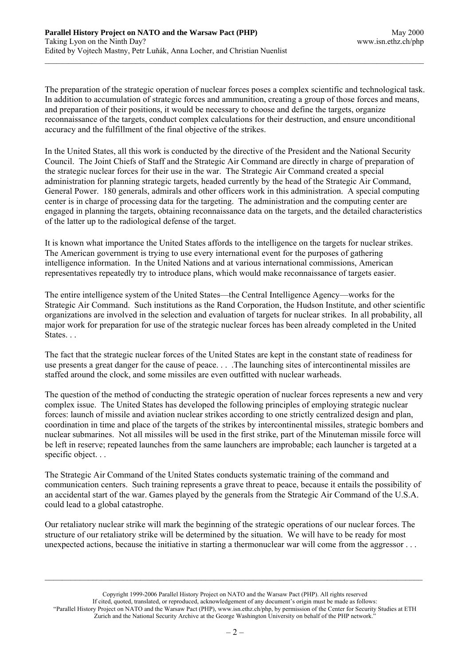The preparation of the strategic operation of nuclear forces poses a complex scientific and technological task. In addition to accumulation of strategic forces and ammunition, creating a group of those forces and means, and preparation of their positions, it would be necessary to choose and define the targets, organize reconnaissance of the targets, conduct complex calculations for their destruction, and ensure unconditional accuracy and the fulfillment of the final objective of the strikes.

In the United States, all this work is conducted by the directive of the President and the National Security Council. The Joint Chiefs of Staff and the Strategic Air Command are directly in charge of preparation of the strategic nuclear forces for their use in the war. The Strategic Air Command created a special administration for planning strategic targets, headed currently by the head of the Strategic Air Command, General Power. 180 generals, admirals and other officers work in this administration. A special computing center is in charge of processing data for the targeting. The administration and the computing center are engaged in planning the targets, obtaining reconnaissance data on the targets, and the detailed characteristics of the latter up to the radiological defense of the target.

It is known what importance the United States affords to the intelligence on the targets for nuclear strikes. The American government is trying to use every international event for the purposes of gathering intelligence information. In the United Nations and at various international commissions, American representatives repeatedly try to introduce plans, which would make reconnaissance of targets easier.

The entire intelligence system of the United States—the Central Intelligence Agency—works for the Strategic Air Command. Such institutions as the Rand Corporation, the Hudson Institute, and other scientific organizations are involved in the selection and evaluation of targets for nuclear strikes. In all probability, all major work for preparation for use of the strategic nuclear forces has been already completed in the United States. . .

The fact that the strategic nuclear forces of the United States are kept in the constant state of readiness for use presents a great danger for the cause of peace. . . .The launching sites of intercontinental missiles are staffed around the clock, and some missiles are even outfitted with nuclear warheads.

The question of the method of conducting the strategic operation of nuclear forces represents a new and very complex issue. The United States has developed the following principles of employing strategic nuclear forces: launch of missile and aviation nuclear strikes according to one strictly centralized design and plan, coordination in time and place of the targets of the strikes by intercontinental missiles, strategic bombers and nuclear submarines. Not all missiles will be used in the first strike, part of the Minuteman missile force will be left in reserve; repeated launches from the same launchers are improbable; each launcher is targeted at a specific object. . .

The Strategic Air Command of the United States conducts systematic training of the command and communication centers. Such training represents a grave threat to peace, because it entails the possibility of an accidental start of the war. Games played by the generals from the Strategic Air Command of the U.S.A. could lead to a global catastrophe.

Our retaliatory nuclear strike will mark the beginning of the strategic operations of our nuclear forces. The structure of our retaliatory strike will be determined by the situation. We will have to be ready for most unexpected actions, because the initiative in starting a thermonuclear war will come from the aggressor . . .

Copyright 1999-2006 Parallel History Project on NATO and the Warsaw Pact (PHP). All rights reserved If cited, quoted, translated, or reproduced, acknowledgement of any document's origin must be made as follows: "Parallel History Project on NATO and the Warsaw Pact (PHP), www.isn.ethz.ch/php, by permission of the Center for Security Studies at ETH Zurich and the National Security Archive at the George Washington University on behalf of the PHP network."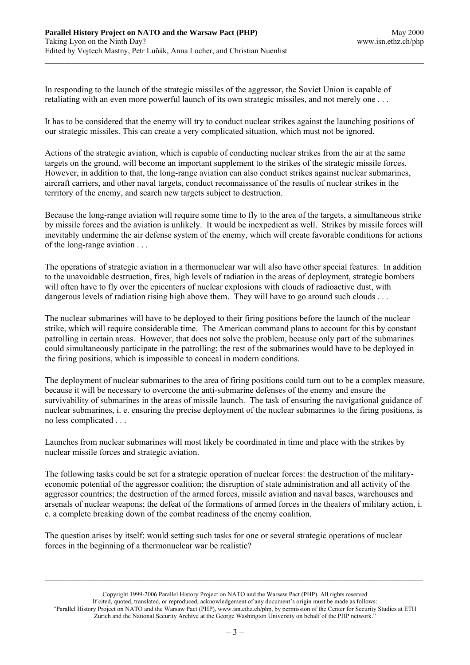In responding to the launch of the strategic missiles of the aggressor, the Soviet Union is capable of retaliating with an even more powerful launch of its own strategic missiles, and not merely one . . .

It has to be considered that the enemy will try to conduct nuclear strikes against the launching positions of our strategic missiles. This can create a very complicated situation, which must not be ignored.

Actions of the strategic aviation, which is capable of conducting nuclear strikes from the air at the same targets on the ground, will become an important supplement to the strikes of the strategic missile forces. However, in addition to that, the long-range aviation can also conduct strikes against nuclear submarines, aircraft carriers, and other naval targets, conduct reconnaissance of the results of nuclear strikes in the territory of the enemy, and search new targets subject to destruction.

Because the long-range aviation will require some time to fly to the area of the targets, a simultaneous strike by missile forces and the aviation is unlikely. It would be inexpedient as well. Strikes by missile forces will inevitably undermine the air defense system of the enemy, which will create favorable conditions for actions of the long-range aviation . . .

The operations of strategic aviation in a thermonuclear war will also have other special features. In addition to the unavoidable destruction, fires, high levels of radiation in the areas of deployment, strategic bombers will often have to fly over the epicenters of nuclear explosions with clouds of radioactive dust, with dangerous levels of radiation rising high above them. They will have to go around such clouds . . .

The nuclear submarines will have to be deployed to their firing positions before the launch of the nuclear strike, which will require considerable time. The American command plans to account for this by constant patrolling in certain areas. However, that does not solve the problem, because only part of the submarines could simultaneously participate in the patrolling; the rest of the submarines would have to be deployed in the firing positions, which is impossible to conceal in modern conditions.

The deployment of nuclear submarines to the area of firing positions could turn out to be a complex measure, because it will be necessary to overcome the anti-submarine defenses of the enemy and ensure the survivability of submarines in the areas of missile launch. The task of ensuring the navigational guidance of nuclear submarines, i. e. ensuring the precise deployment of the nuclear submarines to the firing positions, is no less complicated . . .

Launches from nuclear submarines will most likely be coordinated in time and place with the strikes by nuclear missile forces and strategic aviation.

The following tasks could be set for a strategic operation of nuclear forces: the destruction of the militaryeconomic potential of the aggressor coalition; the disruption of state administration and all activity of the aggressor countries; the destruction of the armed forces, missile aviation and naval bases, warehouses and arsenals of nuclear weapons; the defeat of the formations of armed forces in the theaters of military action, i. e. a complete breaking down of the combat readiness of the enemy coalition.

The question arises by itself: would setting such tasks for one or several strategic operations of nuclear forces in the beginning of a thermonuclear war be realistic?

Copyright 1999-2006 Parallel History Project on NATO and the Warsaw Pact (PHP). All rights reserved If cited, quoted, translated, or reproduced, acknowledgement of any document's origin must be made as follows: "Parallel History Project on NATO and the Warsaw Pact (PHP), www.isn.ethz.ch/php, by permission of the Center for Security Studies at ETH Zurich and the National Security Archive at the George Washington University on behalf of the PHP network."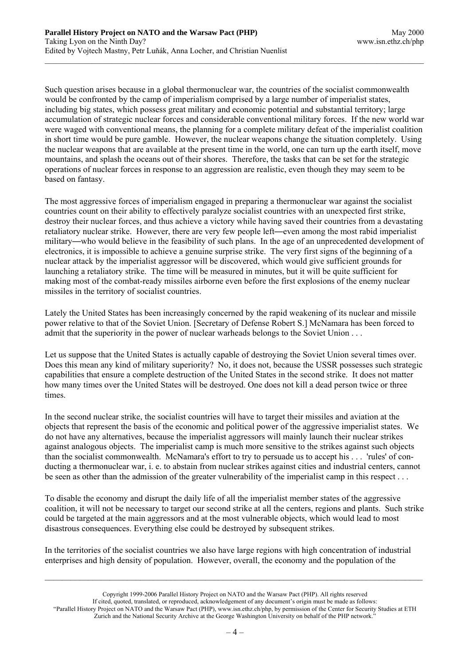Such question arises because in a global thermonuclear war, the countries of the socialist commonwealth would be confronted by the camp of imperialism comprised by a large number of imperialist states, including big states, which possess great military and economic potential and substantial territory; large accumulation of strategic nuclear forces and considerable conventional military forces. If the new world war were waged with conventional means, the planning for a complete military defeat of the imperialist coalition in short time would be pure gamble. However, the nuclear weapons change the situation completely. Using the nuclear weapons that are available at the present time in the world, one can turn up the earth itself, move mountains, and splash the oceans out of their shores. Therefore, the tasks that can be set for the strategic operations of nuclear forces in response to an aggression are realistic, even though they may seem to be based on fantasy.

The most aggressive forces of imperialism engaged in preparing a thermonuclear war against the socialist countries count on their ability to effectively paralyze socialist countries with an unexpected first strike, destroy their nuclear forces, and thus achieve a victory while having saved their countries from a devastating retaliatory nuclear strike. However, there are very few people left—even among the most rabid imperialist military—who would believe in the feasibility of such plans. In the age of an unprecedented development of electronics, it is impossible to achieve a genuine surprise strike. The very first signs of the beginning of a nuclear attack by the imperialist aggressor will be discovered, which would give sufficient grounds for launching a retaliatory strike. The time will be measured in minutes, but it will be quite sufficient for making most of the combat-ready missiles airborne even before the first explosions of the enemy nuclear missiles in the territory of socialist countries.

Lately the United States has been increasingly concerned by the rapid weakening of its nuclear and missile power relative to that of the Soviet Union. [Secretary of Defense Robert S.] McNamara has been forced to admit that the superiority in the power of nuclear warheads belongs to the Soviet Union . . .

Let us suppose that the United States is actually capable of destroying the Soviet Union several times over. Does this mean any kind of military superiority? No, it does not, because the USSR possesses such strategic capabilities that ensure a complete destruction of the United States in the second strike. It does not matter how many times over the United States will be destroyed. One does not kill a dead person twice or three times.

In the second nuclear strike, the socialist countries will have to target their missiles and aviation at the objects that represent the basis of the economic and political power of the aggressive imperialist states. We do not have any alternatives, because the imperialist aggressors will mainly launch their nuclear strikes against analogous objects. The imperialist camp is much more sensitive to the strikes against such objects than the socialist commonwealth. McNamara's effort to try to persuade us to accept his . . . 'rules' of conducting a thermonuclear war, i. e. to abstain from nuclear strikes against cities and industrial centers, cannot be seen as other than the admission of the greater vulnerability of the imperialist camp in this respect . . .

To disable the economy and disrupt the daily life of all the imperialist member states of the aggressive coalition, it will not be necessary to target our second strike at all the centers, regions and plants. Such strike could be targeted at the main aggressors and at the most vulnerable objects, which would lead to most disastrous consequences. Everything else could be destroyed by subsequent strikes.

In the territories of the socialist countries we also have large regions with high concentration of industrial enterprises and high density of population. However, overall, the economy and the population of the

Copyright 1999-2006 Parallel History Project on NATO and the Warsaw Pact (PHP). All rights reserved If cited, quoted, translated, or reproduced, acknowledgement of any document's origin must be made as follows: "Parallel History Project on NATO and the Warsaw Pact (PHP), www.isn.ethz.ch/php, by permission of the Center for Security Studies at ETH Zurich and the National Security Archive at the George Washington University on behalf of the PHP network."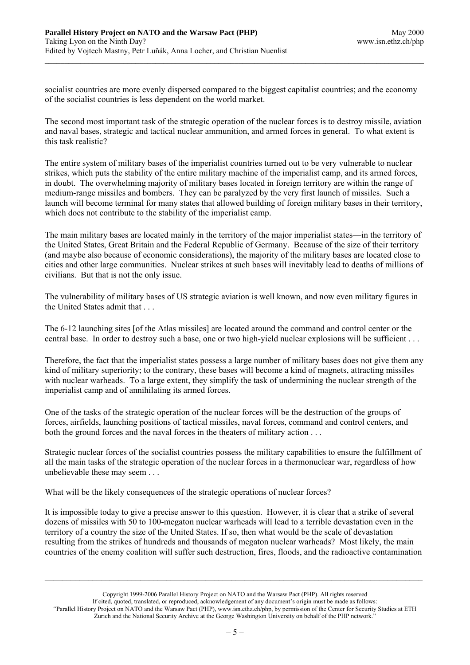socialist countries are more evenly dispersed compared to the biggest capitalist countries; and the economy of the socialist countries is less dependent on the world market.

The second most important task of the strategic operation of the nuclear forces is to destroy missile, aviation and naval bases, strategic and tactical nuclear ammunition, and armed forces in general. To what extent is this task realistic?

The entire system of military bases of the imperialist countries turned out to be very vulnerable to nuclear strikes, which puts the stability of the entire military machine of the imperialist camp, and its armed forces, in doubt. The overwhelming majority of military bases located in foreign territory are within the range of medium-range missiles and bombers. They can be paralyzed by the very first launch of missiles. Such a launch will become terminal for many states that allowed building of foreign military bases in their territory, which does not contribute to the stability of the imperialist camp.

The main military bases are located mainly in the territory of the major imperialist states—in the territory of the United States, Great Britain and the Federal Republic of Germany. Because of the size of their territory (and maybe also because of economic considerations), the majority of the military bases are located close to cities and other large communities. Nuclear strikes at such bases will inevitably lead to deaths of millions of civilians. But that is not the only issue.

The vulnerability of military bases of US strategic aviation is well known, and now even military figures in the United States admit that . . .

The 6-12 launching sites [of the Atlas missiles] are located around the command and control center or the central base. In order to destroy such a base, one or two high-yield nuclear explosions will be sufficient . . .

Therefore, the fact that the imperialist states possess a large number of military bases does not give them any kind of military superiority; to the contrary, these bases will become a kind of magnets, attracting missiles with nuclear warheads. To a large extent, they simplify the task of undermining the nuclear strength of the imperialist camp and of annihilating its armed forces.

One of the tasks of the strategic operation of the nuclear forces will be the destruction of the groups of forces, airfields, launching positions of tactical missiles, naval forces, command and control centers, and both the ground forces and the naval forces in the theaters of military action . . .

Strategic nuclear forces of the socialist countries possess the military capabilities to ensure the fulfillment of all the main tasks of the strategic operation of the nuclear forces in a thermonuclear war, regardless of how unbelievable these may seem . . .

What will be the likely consequences of the strategic operations of nuclear forces?

It is impossible today to give a precise answer to this question. However, it is clear that a strike of several dozens of missiles with 50 to 100-megaton nuclear warheads will lead to a terrible devastation even in the territory of a country the size of the United States. If so, then what would be the scale of devastation resulting from the strikes of hundreds and thousands of megaton nuclear warheads? Most likely, the main countries of the enemy coalition will suffer such destruction, fires, floods, and the radioactive contamination

Copyright 1999-2006 Parallel History Project on NATO and the Warsaw Pact (PHP). All rights reserved If cited, quoted, translated, or reproduced, acknowledgement of any document's origin must be made as follows: "Parallel History Project on NATO and the Warsaw Pact (PHP), www.isn.ethz.ch/php, by permission of the Center for Security Studies at ETH Zurich and the National Security Archive at the George Washington University on behalf of the PHP network."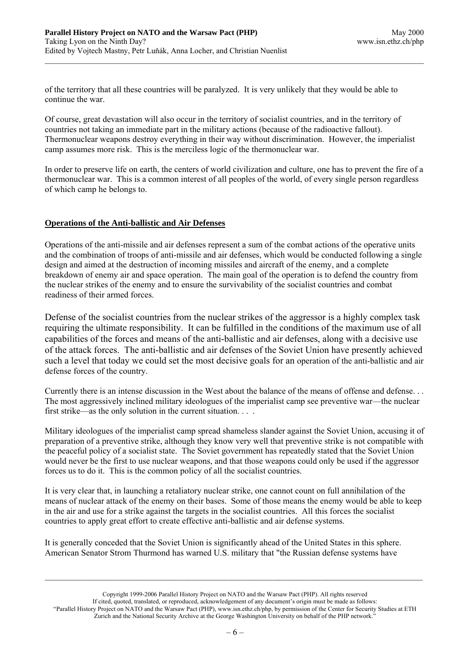of the territory that all these countries will be paralyzed. It is very unlikely that they would be able to continue the war.

Of course, great devastation will also occur in the territory of socialist countries, and in the territory of countries not taking an immediate part in the military actions (because of the radioactive fallout). Thermonuclear weapons destroy everything in their way without discrimination. However, the imperialist camp assumes more risk. This is the merciless logic of the thermonuclear war.

In order to preserve life on earth, the centers of world civilization and culture, one has to prevent the fire of a thermonuclear war. This is a common interest of all peoples of the world, of every single person regardless of which camp he belongs to.

# **Operations of the Anti-ballistic and Air Defenses**

Operations of the anti-missile and air defenses represent a sum of the combat actions of the operative units and the combination of troops of anti-missile and air defenses, which would be conducted following a single design and aimed at the destruction of incoming missiles and aircraft of the enemy, and a complete breakdown of enemy air and space operation. The main goal of the operation is to defend the country from the nuclear strikes of the enemy and to ensure the survivability of the socialist countries and combat readiness of their armed forces.

Defense of the socialist countries from the nuclear strikes of the aggressor is a highly complex task requiring the ultimate responsibility. It can be fulfilled in the conditions of the maximum use of all capabilities of the forces and means of the anti-ballistic and air defenses, along with a decisive use of the attack forces. The anti-ballistic and air defenses of the Soviet Union have presently achieved such a level that today we could set the most decisive goals for an operation of the anti-ballistic and air defense forces of the country.

Currently there is an intense discussion in the West about the balance of the means of offense and defense. . . The most aggressively inclined military ideologues of the imperialist camp see preventive war—the nuclear first strike—as the only solution in the current situation. . . .

Military ideologues of the imperialist camp spread shameless slander against the Soviet Union, accusing it of preparation of a preventive strike, although they know very well that preventive strike is not compatible with the peaceful policy of a socialist state. The Soviet government has repeatedly stated that the Soviet Union would never be the first to use nuclear weapons, and that those weapons could only be used if the aggressor forces us to do it. This is the common policy of all the socialist countries.

It is very clear that, in launching a retaliatory nuclear strike, one cannot count on full annihilation of the means of nuclear attack of the enemy on their bases. Some of those means the enemy would be able to keep in the air and use for a strike against the targets in the socialist countries. All this forces the socialist countries to apply great effort to create effective anti-ballistic and air defense systems.

It is generally conceded that the Soviet Union is significantly ahead of the United States in this sphere. American Senator Strom Thurmond has warned U.S. military that "the Russian defense systems have

Copyright 1999-2006 Parallel History Project on NATO and the Warsaw Pact (PHP). All rights reserved If cited, quoted, translated, or reproduced, acknowledgement of any document's origin must be made as follows: "Parallel History Project on NATO and the Warsaw Pact (PHP), www.isn.ethz.ch/php, by permission of the Center for Security Studies at ETH Zurich and the National Security Archive at the George Washington University on behalf of the PHP network."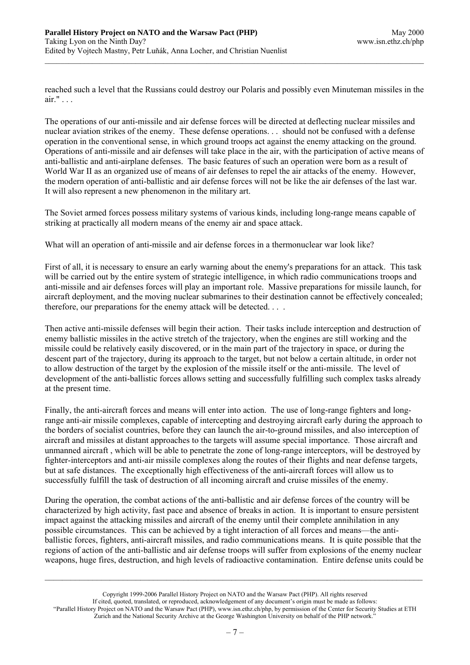reached such a level that the Russians could destroy our Polaris and possibly even Minuteman missiles in the air." . . .

The operations of our anti-missile and air defense forces will be directed at deflecting nuclear missiles and nuclear aviation strikes of the enemy. These defense operations. . . should not be confused with a defense operation in the conventional sense, in which ground troops act against the enemy attacking on the ground. Operations of anti-missile and air defenses will take place in the air, with the participation of active means of anti-ballistic and anti-airplane defenses. The basic features of such an operation were born as a result of World War II as an organized use of means of air defenses to repel the air attacks of the enemy. However, the modern operation of anti-ballistic and air defense forces will not be like the air defenses of the last war. It will also represent a new phenomenon in the military art.

The Soviet armed forces possess military systems of various kinds, including long-range means capable of striking at practically all modern means of the enemy air and space attack.

What will an operation of anti-missile and air defense forces in a thermonuclear war look like?

First of all, it is necessary to ensure an early warning about the enemy's preparations for an attack. This task will be carried out by the entire system of strategic intelligence, in which radio communications troops and anti-missile and air defenses forces will play an important role. Massive preparations for missile launch, for aircraft deployment, and the moving nuclear submarines to their destination cannot be effectively concealed; therefore, our preparations for the enemy attack will be detected. . . .

Then active anti-missile defenses will begin their action. Their tasks include interception and destruction of enemy ballistic missiles in the active stretch of the trajectory, when the engines are still working and the missile could be relatively easily discovered, or in the main part of the trajectory in space, or during the descent part of the trajectory, during its approach to the target, but not below a certain altitude, in order not to allow destruction of the target by the explosion of the missile itself or the anti-missile. The level of development of the anti-ballistic forces allows setting and successfully fulfilling such complex tasks already at the present time.

Finally, the anti-aircraft forces and means will enter into action. The use of long-range fighters and longrange anti-air missile complexes, capable of intercepting and destroying aircraft early during the approach to the borders of socialist countries, before they can launch the air-to-ground missiles, and also interception of aircraft and missiles at distant approaches to the targets will assume special importance. Those aircraft and unmanned aircraft , which will be able to penetrate the zone of long-range interceptors, will be destroyed by fighter-interceptors and anti-air missile complexes along the routes of their flights and near defense targets, but at safe distances. The exceptionally high effectiveness of the anti-aircraft forces will allow us to successfully fulfill the task of destruction of all incoming aircraft and cruise missiles of the enemy.

During the operation, the combat actions of the anti-ballistic and air defense forces of the country will be characterized by high activity, fast pace and absence of breaks in action. It is important to ensure persistent impact against the attacking missiles and aircraft of the enemy until their complete annihilation in any possible circumstances. This can be achieved by a tight interaction of all forces and means—the antiballistic forces, fighters, anti-aircraft missiles, and radio communications means. It is quite possible that the regions of action of the anti-ballistic and air defense troops will suffer from explosions of the enemy nuclear weapons, huge fires, destruction, and high levels of radioactive contamination. Entire defense units could be

Copyright 1999-2006 Parallel History Project on NATO and the Warsaw Pact (PHP). All rights reserved If cited, quoted, translated, or reproduced, acknowledgement of any document's origin must be made as follows: "Parallel History Project on NATO and the Warsaw Pact (PHP), www.isn.ethz.ch/php, by permission of the Center for Security Studies at ETH Zurich and the National Security Archive at the George Washington University on behalf of the PHP network."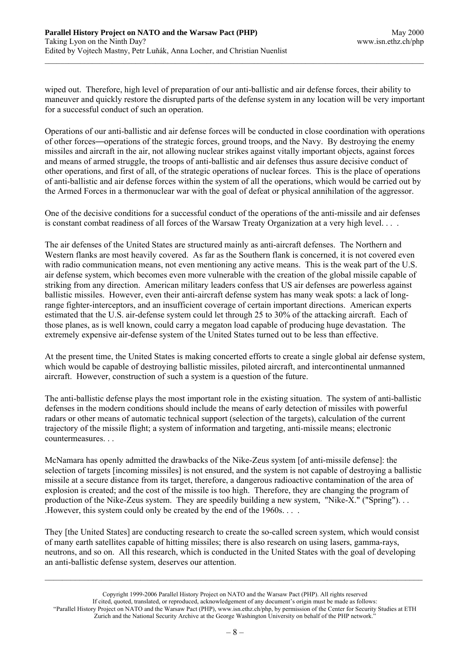wiped out. Therefore, high level of preparation of our anti-ballistic and air defense forces, their ability to maneuver and quickly restore the disrupted parts of the defense system in any location will be very important for a successful conduct of such an operation.

Operations of our anti-ballistic and air defense forces will be conducted in close coordination with operations of other forces—operations of the strategic forces, ground troops, and the Navy. By destroying the enemy missiles and aircraft in the air, not allowing nuclear strikes against vitally important objects, against forces and means of armed struggle, the troops of anti-ballistic and air defenses thus assure decisive conduct of other operations, and first of all, of the strategic operations of nuclear forces. This is the place of operations of anti-ballistic and air defense forces within the system of all the operations, which would be carried out by the Armed Forces in a thermonuclear war with the goal of defeat or physical annihilation of the aggressor.

One of the decisive conditions for a successful conduct of the operations of the anti-missile and air defenses is constant combat readiness of all forces of the Warsaw Treaty Organization at a very high level. . . .

The air defenses of the United States are structured mainly as anti-aircraft defenses. The Northern and Western flanks are most heavily covered. As far as the Southern flank is concerned, it is not covered even with radio communication means, not even mentioning any active means. This is the weak part of the U.S. air defense system, which becomes even more vulnerable with the creation of the global missile capable of striking from any direction. American military leaders confess that US air defenses are powerless against ballistic missiles. However, even their anti-aircraft defense system has many weak spots: a lack of longrange fighter-interceptors, and an insufficient coverage of certain important directions. American experts estimated that the U.S. air-defense system could let through 25 to 30% of the attacking aircraft. Each of those planes, as is well known, could carry a megaton load capable of producing huge devastation. The extremely expensive air-defense system of the United States turned out to be less than effective.

At the present time, the United States is making concerted efforts to create a single global air defense system, which would be capable of destroying ballistic missiles, piloted aircraft, and intercontinental unmanned aircraft. However, construction of such a system is a question of the future.

The anti-ballistic defense plays the most important role in the existing situation. The system of anti-ballistic defenses in the modern conditions should include the means of early detection of missiles with powerful radars or other means of automatic technical support (selection of the targets), calculation of the current trajectory of the missile flight; a system of information and targeting, anti-missile means; electronic countermeasures.

McNamara has openly admitted the drawbacks of the Nike-Zeus system [of anti-missile defense]: the selection of targets [incoming missiles] is not ensured, and the system is not capable of destroying a ballistic missile at a secure distance from its target, therefore, a dangerous radioactive contamination of the area of explosion is created; and the cost of the missile is too high. Therefore, they are changing the program of production of the Nike-Zeus system. They are speedily building a new system, "Nike-X." ("Spring"). . . .However, this system could only be created by the end of the 1960s. . . .

They [the United States] are conducting research to create the so-called screen system, which would consist of many earth satellites capable of hitting missiles; there is also research on using lasers, gamma-rays, neutrons, and so on. All this research, which is conducted in the United States with the goal of developing an anti-ballistic defense system, deserves our attention.

Copyright 1999-2006 Parallel History Project on NATO and the Warsaw Pact (PHP). All rights reserved If cited, quoted, translated, or reproduced, acknowledgement of any document's origin must be made as follows: "Parallel History Project on NATO and the Warsaw Pact (PHP), www.isn.ethz.ch/php, by permission of the Center for Security Studies at ETH Zurich and the National Security Archive at the George Washington University on behalf of the PHP network."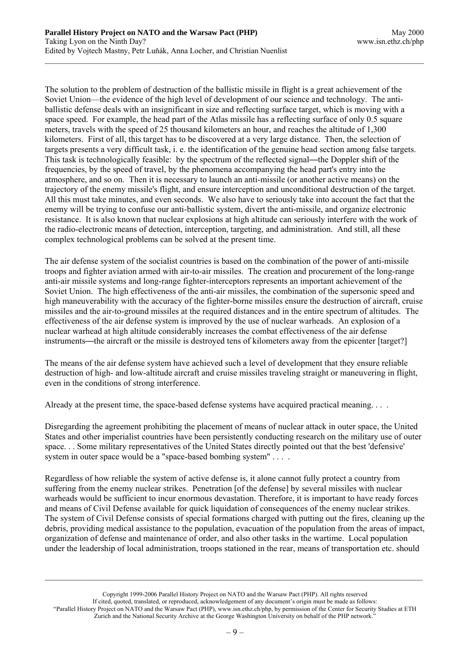The solution to the problem of destruction of the ballistic missile in flight is a great achievement of the Soviet Union—the evidence of the high level of development of our science and technology. The antiballistic defense deals with an insignificant in size and reflecting surface target, which is moving with a space speed. For example, the head part of the Atlas missile has a reflecting surface of only 0.5 square meters, travels with the speed of 25 thousand kilometers an hour, and reaches the altitude of 1,300 kilometers. First of all, this target has to be discovered at a very large distance. Then, the selection of targets presents a very difficult task, i. e. the identification of the genuine head section among false targets. This task is technologically feasible: by the spectrum of the reflected signal—the Doppler shift of the frequencies, by the speed of travel, by the phenomena accompanying the head part's entry into the atmosphere, and so on. Then it is necessary to launch an anti-missile (or another active means) on the trajectory of the enemy missile's flight, and ensure interception and unconditional destruction of the target. All this must take minutes, and even seconds. We also have to seriously take into account the fact that the enemy will be trying to confuse our anti-ballistic system, divert the anti-missile, and organize electronic resistance. It is also known that nuclear explosions at high altitude can seriously interfere with the work of the radio-electronic means of detection, interception, targeting, and administration. And still, all these complex technological problems can be solved at the present time.

The air defense system of the socialist countries is based on the combination of the power of anti-missile troops and fighter aviation armed with air-to-air missiles. The creation and procurement of the long-range anti-air missile systems and long-range fighter-interceptors represents an important achievement of the Soviet Union. The high effectiveness of the anti-air missiles, the combination of the supersonic speed and high maneuverability with the accuracy of the fighter-borne missiles ensure the destruction of aircraft, cruise missiles and the air-to-ground missiles at the required distances and in the entire spectrum of altitudes. The effectiveness of the air defense system is improved by the use of nuclear warheads. An explosion of a nuclear warhead at high altitude considerably increases the combat effectiveness of the air defense instruments—the aircraft or the missile is destroyed tens of kilometers away from the epicenter [target?]

The means of the air defense system have achieved such a level of development that they ensure reliable destruction of high- and low-altitude aircraft and cruise missiles traveling straight or maneuvering in flight, even in the conditions of strong interference.

Already at the present time, the space-based defense systems have acquired practical meaning....

Disregarding the agreement prohibiting the placement of means of nuclear attack in outer space, the United States and other imperialist countries have been persistently conducting research on the military use of outer space. . . Some military representatives of the United States directly pointed out that the best 'defensive' system in outer space would be a "space-based bombing system" . . . .

Regardless of how reliable the system of active defense is, it alone cannot fully protect a country from suffering from the enemy nuclear strikes. Penetration [of the defense] by several missiles with nuclear warheads would be sufficient to incur enormous devastation. Therefore, it is important to have ready forces and means of Civil Defense available for quick liquidation of consequences of the enemy nuclear strikes. The system of Civil Defense consists of special formations charged with putting out the fires, cleaning up the debris, providing medical assistance to the population, evacuation of the population from the areas of impact, organization of defense and maintenance of order, and also other tasks in the wartime. Local population under the leadership of local administration, troops stationed in the rear, means of transportation etc. should

Copyright 1999-2006 Parallel History Project on NATO and the Warsaw Pact (PHP). All rights reserved If cited, quoted, translated, or reproduced, acknowledgement of any document's origin must be made as follows: "Parallel History Project on NATO and the Warsaw Pact (PHP), www.isn.ethz.ch/php, by permission of the Center for Security Studies at ETH Zurich and the National Security Archive at the George Washington University on behalf of the PHP network."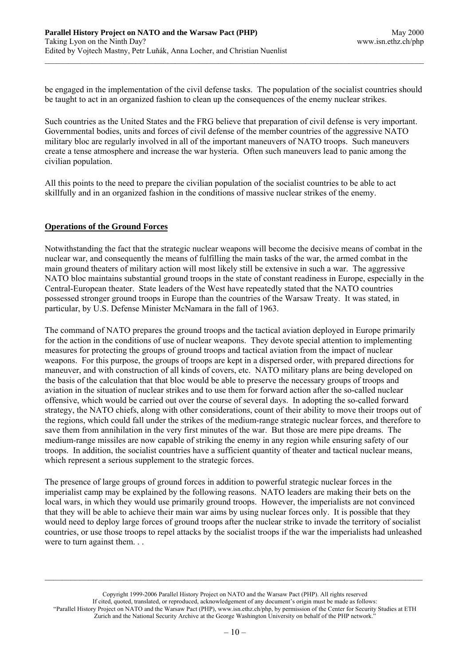be engaged in the implementation of the civil defense tasks. The population of the socialist countries should be taught to act in an organized fashion to clean up the consequences of the enemy nuclear strikes.

Such countries as the United States and the FRG believe that preparation of civil defense is very important. Governmental bodies, units and forces of civil defense of the member countries of the aggressive NATO military bloc are regularly involved in all of the important maneuvers of NATO troops. Such maneuvers create a tense atmosphere and increase the war hysteria. Often such maneuvers lead to panic among the civilian population.

All this points to the need to prepare the civilian population of the socialist countries to be able to act skillfully and in an organized fashion in the conditions of massive nuclear strikes of the enemy.

# **Operations of the Ground Forces**

Notwithstanding the fact that the strategic nuclear weapons will become the decisive means of combat in the nuclear war, and consequently the means of fulfilling the main tasks of the war, the armed combat in the main ground theaters of military action will most likely still be extensive in such a war. The aggressive NATO bloc maintains substantial ground troops in the state of constant readiness in Europe, especially in the Central-European theater. State leaders of the West have repeatedly stated that the NATO countries possessed stronger ground troops in Europe than the countries of the Warsaw Treaty. It was stated, in particular, by U.S. Defense Minister McNamara in the fall of 1963.

The command of NATO prepares the ground troops and the tactical aviation deployed in Europe primarily for the action in the conditions of use of nuclear weapons. They devote special attention to implementing measures for protecting the groups of ground troops and tactical aviation from the impact of nuclear weapons. For this purpose, the groups of troops are kept in a dispersed order, with prepared directions for maneuver, and with construction of all kinds of covers, etc. NATO military plans are being developed on the basis of the calculation that that bloc would be able to preserve the necessary groups of troops and aviation in the situation of nuclear strikes and to use them for forward action after the so-called nuclear offensive, which would be carried out over the course of several days. In adopting the so-called forward strategy, the NATO chiefs, along with other considerations, count of their ability to move their troops out of the regions, which could fall under the strikes of the medium-range strategic nuclear forces, and therefore to save them from annihilation in the very first minutes of the war. But those are mere pipe dreams. The medium-range missiles are now capable of striking the enemy in any region while ensuring safety of our troops. In addition, the socialist countries have a sufficient quantity of theater and tactical nuclear means, which represent a serious supplement to the strategic forces.

The presence of large groups of ground forces in addition to powerful strategic nuclear forces in the imperialist camp may be explained by the following reasons. NATO leaders are making their bets on the local wars, in which they would use primarily ground troops. However, the imperialists are not convinced that they will be able to achieve their main war aims by using nuclear forces only. It is possible that they would need to deploy large forces of ground troops after the nuclear strike to invade the territory of socialist countries, or use those troops to repel attacks by the socialist troops if the war the imperialists had unleashed were to turn against them. . .

Copyright 1999-2006 Parallel History Project on NATO and the Warsaw Pact (PHP). All rights reserved If cited, quoted, translated, or reproduced, acknowledgement of any document's origin must be made as follows: "Parallel History Project on NATO and the Warsaw Pact (PHP), www.isn.ethz.ch/php, by permission of the Center for Security Studies at ETH Zurich and the National Security Archive at the George Washington University on behalf of the PHP network."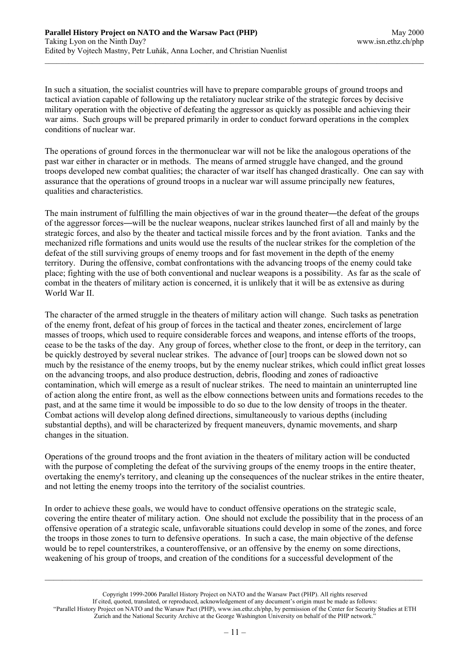In such a situation, the socialist countries will have to prepare comparable groups of ground troops and tactical aviation capable of following up the retaliatory nuclear strike of the strategic forces by decisive military operation with the objective of defeating the aggressor as quickly as possible and achieving their war aims. Such groups will be prepared primarily in order to conduct forward operations in the complex conditions of nuclear war.

The operations of ground forces in the thermonuclear war will not be like the analogous operations of the past war either in character or in methods. The means of armed struggle have changed, and the ground troops developed new combat qualities; the character of war itself has changed drastically. One can say with assurance that the operations of ground troops in a nuclear war will assume principally new features, qualities and characteristics.

The main instrument of fulfilling the main objectives of war in the ground theater—the defeat of the groups of the aggressor forces—will be the nuclear weapons, nuclear strikes launched first of all and mainly by the strategic forces, and also by the theater and tactical missile forces and by the front aviation. Tanks and the mechanized rifle formations and units would use the results of the nuclear strikes for the completion of the defeat of the still surviving groups of enemy troops and for fast movement in the depth of the enemy territory. During the offensive, combat confrontations with the advancing troops of the enemy could take place; fighting with the use of both conventional and nuclear weapons is a possibility. As far as the scale of combat in the theaters of military action is concerned, it is unlikely that it will be as extensive as during World War II

The character of the armed struggle in the theaters of military action will change. Such tasks as penetration of the enemy front, defeat of his group of forces in the tactical and theater zones, encirclement of large masses of troops, which used to require considerable forces and weapons, and intense efforts of the troops, cease to be the tasks of the day. Any group of forces, whether close to the front, or deep in the territory, can be quickly destroyed by several nuclear strikes. The advance of [our] troops can be slowed down not so much by the resistance of the enemy troops, but by the enemy nuclear strikes, which could inflict great losses on the advancing troops, and also produce destruction, debris, flooding and zones of radioactive contamination, which will emerge as a result of nuclear strikes. The need to maintain an uninterrupted line of action along the entire front, as well as the elbow connections between units and formations recedes to the past, and at the same time it would be impossible to do so due to the low density of troops in the theater. Combat actions will develop along defined directions, simultaneously to various depths (including substantial depths), and will be characterized by frequent maneuvers, dynamic movements, and sharp changes in the situation.

Operations of the ground troops and the front aviation in the theaters of military action will be conducted with the purpose of completing the defeat of the surviving groups of the enemy troops in the entire theater, overtaking the enemy's territory, and cleaning up the consequences of the nuclear strikes in the entire theater, and not letting the enemy troops into the territory of the socialist countries.

In order to achieve these goals, we would have to conduct offensive operations on the strategic scale, covering the entire theater of military action. One should not exclude the possibility that in the process of an offensive operation of a strategic scale, unfavorable situations could develop in some of the zones, and force the troops in those zones to turn to defensive operations. In such a case, the main objective of the defense would be to repel counterstrikes, a counteroffensive, or an offensive by the enemy on some directions, weakening of his group of troops, and creation of the conditions for a successful development of the

Copyright 1999-2006 Parallel History Project on NATO and the Warsaw Pact (PHP). All rights reserved If cited, quoted, translated, or reproduced, acknowledgement of any document's origin must be made as follows: "Parallel History Project on NATO and the Warsaw Pact (PHP), www.isn.ethz.ch/php, by permission of the Center for Security Studies at ETH Zurich and the National Security Archive at the George Washington University on behalf of the PHP network."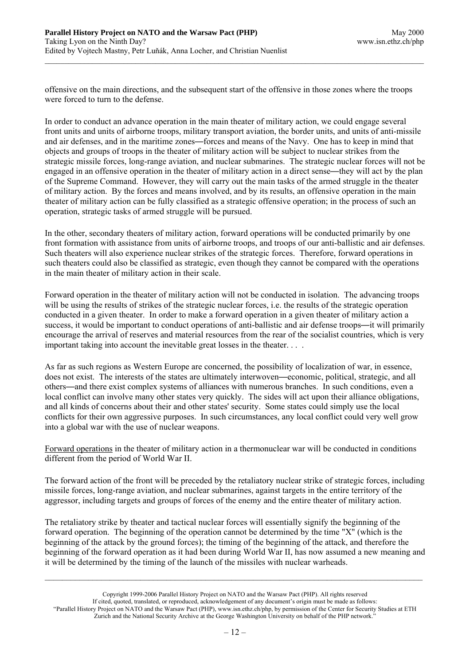offensive on the main directions, and the subsequent start of the offensive in those zones where the troops were forced to turn to the defense.

In order to conduct an advance operation in the main theater of military action, we could engage several front units and units of airborne troops, military transport aviation, the border units, and units of anti-missile and air defenses, and in the maritime zones—forces and means of the Navy. One has to keep in mind that objects and groups of troops in the theater of military action will be subject to nuclear strikes from the strategic missile forces, long-range aviation, and nuclear submarines. The strategic nuclear forces will not be engaged in an offensive operation in the theater of military action in a direct sense—they will act by the plan of the Supreme Command. However, they will carry out the main tasks of the armed struggle in the theater of military action. By the forces and means involved, and by its results, an offensive operation in the main theater of military action can be fully classified as a strategic offensive operation; in the process of such an operation, strategic tasks of armed struggle will be pursued.

In the other, secondary theaters of military action, forward operations will be conducted primarily by one front formation with assistance from units of airborne troops, and troops of our anti-ballistic and air defenses. Such theaters will also experience nuclear strikes of the strategic forces. Therefore, forward operations in such theaters could also be classified as strategic, even though they cannot be compared with the operations in the main theater of military action in their scale.

Forward operation in the theater of military action will not be conducted in isolation. The advancing troops will be using the results of strikes of the strategic nuclear forces, i.e. the results of the strategic operation conducted in a given theater. In order to make a forward operation in a given theater of military action a success, it would be important to conduct operations of anti-ballistic and air defense troops—it will primarily encourage the arrival of reserves and material resources from the rear of the socialist countries, which is very important taking into account the inevitable great losses in the theater. . . .

As far as such regions as Western Europe are concerned, the possibility of localization of war, in essence, does not exist. The interests of the states are ultimately interwoven—economic, political, strategic, and all others—and there exist complex systems of alliances with numerous branches. In such conditions, even a local conflict can involve many other states very quickly. The sides will act upon their alliance obligations, and all kinds of concerns about their and other states' security. Some states could simply use the local conflicts for their own aggressive purposes. In such circumstances, any local conflict could very well grow into a global war with the use of nuclear weapons.

Forward operations in the theater of military action in a thermonuclear war will be conducted in conditions different from the period of World War II.

The forward action of the front will be preceded by the retaliatory nuclear strike of strategic forces, including missile forces, long-range aviation, and nuclear submarines, against targets in the entire territory of the aggressor, including targets and groups of forces of the enemy and the entire theater of military action.

The retaliatory strike by theater and tactical nuclear forces will essentially signify the beginning of the forward operation. The beginning of the operation cannot be determined by the time "X" (which is the beginning of the attack by the ground forces); the timing of the beginning of the attack, and therefore the beginning of the forward operation as it had been during World War II, has now assumed a new meaning and it will be determined by the timing of the launch of the missiles with nuclear warheads.

Copyright 1999-2006 Parallel History Project on NATO and the Warsaw Pact (PHP). All rights reserved If cited, quoted, translated, or reproduced, acknowledgement of any document's origin must be made as follows: "Parallel History Project on NATO and the Warsaw Pact (PHP), www.isn.ethz.ch/php, by permission of the Center for Security Studies at ETH Zurich and the National Security Archive at the George Washington University on behalf of the PHP network."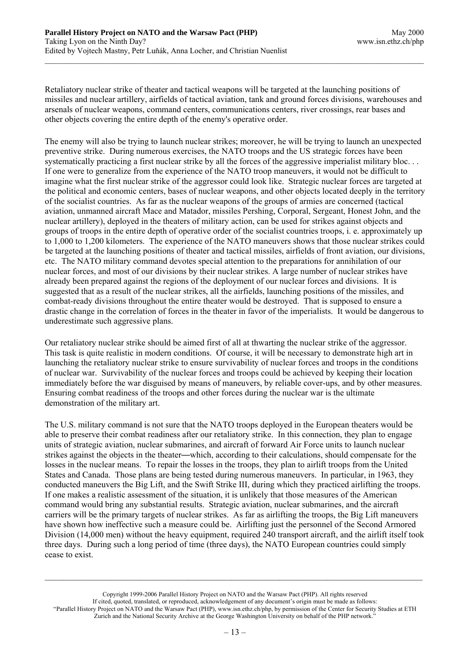Retaliatory nuclear strike of theater and tactical weapons will be targeted at the launching positions of missiles and nuclear artillery, airfields of tactical aviation, tank and ground forces divisions, warehouses and arsenals of nuclear weapons, command centers, communications centers, river crossings, rear bases and other objects covering the entire depth of the enemy's operative order.

The enemy will also be trying to launch nuclear strikes; moreover, he will be trying to launch an unexpected preventive strike. During numerous exercises, the NATO troops and the US strategic forces have been systematically practicing a first nuclear strike by all the forces of the aggressive imperialist military bloc... If one were to generalize from the experience of the NATO troop maneuvers, it would not be difficult to imagine what the first nuclear strike of the aggressor could look like. Strategic nuclear forces are targeted at the political and economic centers, bases of nuclear weapons, and other objects located deeply in the territory of the socialist countries. As far as the nuclear weapons of the groups of armies are concerned (tactical aviation, unmanned aircraft Mace and Matador, missiles Pershing, Corporal, Sergeant, Honest John, and the nuclear artillery), deployed in the theaters of military action, can be used for strikes against objects and groups of troops in the entire depth of operative order of the socialist countries troops, i. e. approximately up to 1,000 to 1,200 kilometers. The experience of the NATO maneuvers shows that those nuclear strikes could be targeted at the launching positions of theater and tactical missiles, airfields of front aviation, our divisions, etc. The NATO military command devotes special attention to the preparations for annihilation of our nuclear forces, and most of our divisions by their nuclear strikes. A large number of nuclear strikes have already been prepared against the regions of the deployment of our nuclear forces and divisions. It is suggested that as a result of the nuclear strikes, all the airfields, launching positions of the missiles, and combat-ready divisions throughout the entire theater would be destroyed. That is supposed to ensure a drastic change in the correlation of forces in the theater in favor of the imperialists. It would be dangerous to underestimate such aggressive plans.

Our retaliatory nuclear strike should be aimed first of all at thwarting the nuclear strike of the aggressor. This task is quite realistic in modern conditions. Of course, it will be necessary to demonstrate high art in launching the retaliatory nuclear strike to ensure survivability of nuclear forces and troops in the conditions of nuclear war. Survivability of the nuclear forces and troops could be achieved by keeping their location immediately before the war disguised by means of maneuvers, by reliable cover-ups, and by other measures. Ensuring combat readiness of the troops and other forces during the nuclear war is the ultimate demonstration of the military art.

The U.S. military command is not sure that the NATO troops deployed in the European theaters would be able to preserve their combat readiness after our retaliatory strike. In this connection, they plan to engage units of strategic aviation, nuclear submarines, and aircraft of forward Air Force units to launch nuclear strikes against the objects in the theater—which, according to their calculations, should compensate for the losses in the nuclear means. To repair the losses in the troops, they plan to airlift troops from the United States and Canada. Those plans are being tested during numerous maneuvers. In particular, in 1963, they conducted maneuvers the Big Lift, and the Swift Strike III, during which they practiced airlifting the troops. If one makes a realistic assessment of the situation, it is unlikely that those measures of the American command would bring any substantial results. Strategic aviation, nuclear submarines, and the aircraft carriers will be the primary targets of nuclear strikes. As far as airlifting the troops, the Big Lift maneuvers have shown how ineffective such a measure could be. Airlifting just the personnel of the Second Armored Division (14,000 men) without the heavy equipment, required 240 transport aircraft, and the airlift itself took three days. During such a long period of time (three days), the NATO European countries could simply cease to exist.

Copyright 1999-2006 Parallel History Project on NATO and the Warsaw Pact (PHP). All rights reserved If cited, quoted, translated, or reproduced, acknowledgement of any document's origin must be made as follows: "Parallel History Project on NATO and the Warsaw Pact (PHP), www.isn.ethz.ch/php, by permission of the Center for Security Studies at ETH Zurich and the National Security Archive at the George Washington University on behalf of the PHP network."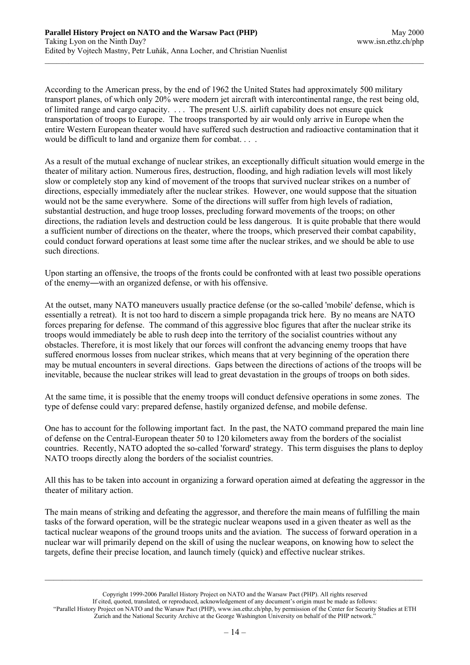According to the American press, by the end of 1962 the United States had approximately 500 military transport planes, of which only 20% were modern jet aircraft with intercontinental range, the rest being old, of limited range and cargo capacity. . . . The present U.S. airlift capability does not ensure quick transportation of troops to Europe. The troops transported by air would only arrive in Europe when the entire Western European theater would have suffered such destruction and radioactive contamination that it would be difficult to land and organize them for combat. . . .

As a result of the mutual exchange of nuclear strikes, an exceptionally difficult situation would emerge in the theater of military action. Numerous fires, destruction, flooding, and high radiation levels will most likely slow or completely stop any kind of movement of the troops that survived nuclear strikes on a number of directions, especially immediately after the nuclear strikes. However, one would suppose that the situation would not be the same everywhere. Some of the directions will suffer from high levels of radiation, substantial destruction, and huge troop losses, precluding forward movements of the troops; on other directions, the radiation levels and destruction could be less dangerous. It is quite probable that there would a sufficient number of directions on the theater, where the troops, which preserved their combat capability, could conduct forward operations at least some time after the nuclear strikes, and we should be able to use such directions.

Upon starting an offensive, the troops of the fronts could be confronted with at least two possible operations of the enemy—with an organized defense, or with his offensive.

At the outset, many NATO maneuvers usually practice defense (or the so-called 'mobile' defense, which is essentially a retreat). It is not too hard to discern a simple propaganda trick here. By no means are NATO forces preparing for defense. The command of this aggressive bloc figures that after the nuclear strike its troops would immediately be able to rush deep into the territory of the socialist countries without any obstacles. Therefore, it is most likely that our forces will confront the advancing enemy troops that have suffered enormous losses from nuclear strikes, which means that at very beginning of the operation there may be mutual encounters in several directions. Gaps between the directions of actions of the troops will be inevitable, because the nuclear strikes will lead to great devastation in the groups of troops on both sides.

At the same time, it is possible that the enemy troops will conduct defensive operations in some zones. The type of defense could vary: prepared defense, hastily organized defense, and mobile defense.

One has to account for the following important fact. In the past, the NATO command prepared the main line of defense on the Central-European theater 50 to 120 kilometers away from the borders of the socialist countries. Recently, NATO adopted the so-called 'forward' strategy. This term disguises the plans to deploy NATO troops directly along the borders of the socialist countries.

All this has to be taken into account in organizing a forward operation aimed at defeating the aggressor in the theater of military action.

The main means of striking and defeating the aggressor, and therefore the main means of fulfilling the main tasks of the forward operation, will be the strategic nuclear weapons used in a given theater as well as the tactical nuclear weapons of the ground troops units and the aviation.The success of forward operation in a nuclear war will primarily depend on the skill of using the nuclear weapons, on knowing how to select the targets, define their precise location, and launch timely (quick) and effective nuclear strikes.

Copyright 1999-2006 Parallel History Project on NATO and the Warsaw Pact (PHP). All rights reserved If cited, quoted, translated, or reproduced, acknowledgement of any document's origin must be made as follows: "Parallel History Project on NATO and the Warsaw Pact (PHP), www.isn.ethz.ch/php, by permission of the Center for Security Studies at ETH Zurich and the National Security Archive at the George Washington University on behalf of the PHP network."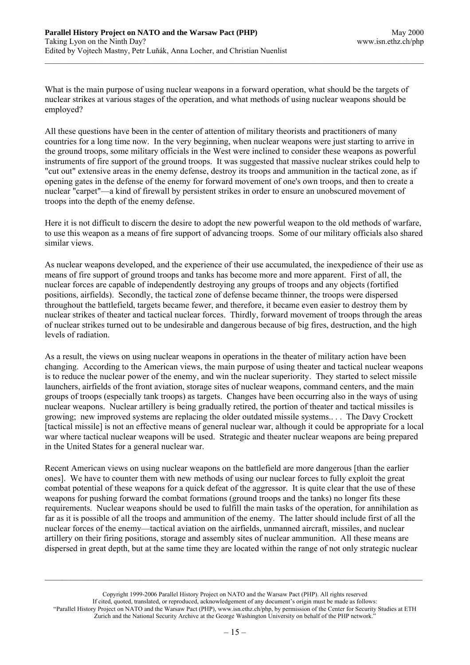What is the main purpose of using nuclear weapons in a forward operation, what should be the targets of nuclear strikes at various stages of the operation, and what methods of using nuclear weapons should be employed?

All these questions have been in the center of attention of military theorists and practitioners of many countries for a long time now. In the very beginning, when nuclear weapons were just starting to arrive in the ground troops, some military officials in the West were inclined to consider these weapons as powerful instruments of fire support of the ground troops. It was suggested that massive nuclear strikes could help to "cut out" extensive areas in the enemy defense, destroy its troops and ammunition in the tactical zone, as if opening gates in the defense of the enemy for forward movement of one's own troops, and then to create a nuclear "carpet"—a kind of firewall by persistent strikes in order to ensure an unobscured movement of troops into the depth of the enemy defense.

Here it is not difficult to discern the desire to adopt the new powerful weapon to the old methods of warfare, to use this weapon as a means of fire support of advancing troops. Some of our military officials also shared similar views.

As nuclear weapons developed, and the experience of their use accumulated, the inexpedience of their use as means of fire support of ground troops and tanks has become more and more apparent. First of all, the nuclear forces are capable of independently destroying any groups of troops and any objects (fortified positions, airfields). Secondly, the tactical zone of defense became thinner, the troops were dispersed throughout the battlefield, targets became fewer, and therefore, it became even easier to destroy them by nuclear strikes of theater and tactical nuclear forces. Thirdly, forward movement of troops through the areas of nuclear strikes turned out to be undesirable and dangerous because of big fires, destruction, and the high levels of radiation.

As a result, the views on using nuclear weapons in operations in the theater of military action have been changing. According to the American views, the main purpose of using theater and tactical nuclear weapons is to reduce the nuclear power of the enemy, and win the nuclear superiority. They started to select missile launchers, airfields of the front aviation, storage sites of nuclear weapons, command centers, and the main groups of troops (especially tank troops) as targets. Changes have been occurring also in the ways of using nuclear weapons. Nuclear artillery is being gradually retired, the portion of theater and tactical missiles is growing; new improved systems are replacing the older outdated missile systems.. . . The Davy Crockett [tactical missile] is not an effective means of general nuclear war, although it could be appropriate for a local war where tactical nuclear weapons will be used. Strategic and theater nuclear weapons are being prepared in the United States for a general nuclear war.

Recent American views on using nuclear weapons on the battlefield are more dangerous [than the earlier ones]. We have to counter them with new methods of using our nuclear forces to fully exploit the great combat potential of these weapons for a quick defeat of the aggressor. It is quite clear that the use of these weapons for pushing forward the combat formations (ground troops and the tanks) no longer fits these requirements. Nuclear weapons should be used to fulfill the main tasks of the operation, for annihilation as far as it is possible of all the troops and ammunition of the enemy. The latter should include first of all the nuclear forces of the enemy—tactical aviation on the airfields, unmanned aircraft, missiles, and nuclear artillery on their firing positions, storage and assembly sites of nuclear ammunition. All these means are dispersed in great depth, but at the same time they are located within the range of not only strategic nuclear

Copyright 1999-2006 Parallel History Project on NATO and the Warsaw Pact (PHP). All rights reserved If cited, quoted, translated, or reproduced, acknowledgement of any document's origin must be made as follows: "Parallel History Project on NATO and the Warsaw Pact (PHP), www.isn.ethz.ch/php, by permission of the Center for Security Studies at ETH Zurich and the National Security Archive at the George Washington University on behalf of the PHP network."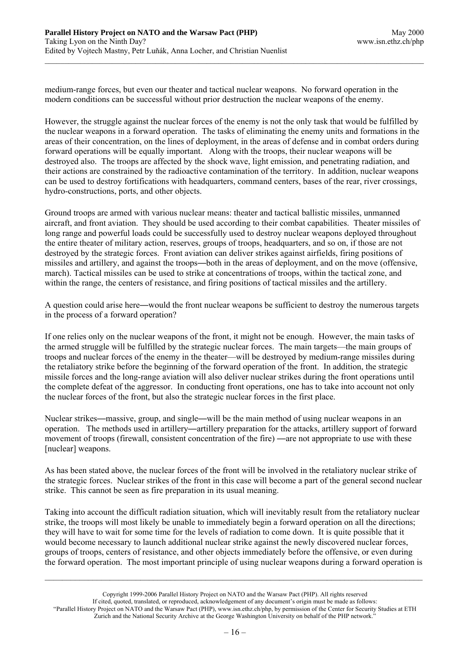medium-range forces, but even our theater and tactical nuclear weapons. No forward operation in the modern conditions can be successful without prior destruction the nuclear weapons of the enemy.

However, the struggle against the nuclear forces of the enemy is not the only task that would be fulfilled by the nuclear weapons in a forward operation. The tasks of eliminating the enemy units and formations in the areas of their concentration, on the lines of deployment, in the areas of defense and in combat orders during forward operations will be equally important. Along with the troops, their nuclear weapons will be destroyed also. The troops are affected by the shock wave, light emission, and penetrating radiation, and their actions are constrained by the radioactive contamination of the territory. In addition, nuclear weapons can be used to destroy fortifications with headquarters, command centers, bases of the rear, river crossings, hydro-constructions, ports, and other objects.

Ground troops are armed with various nuclear means: theater and tactical ballistic missiles, unmanned aircraft, and front aviation. They should be used according to their combat capabilities. Theater missiles of long range and powerful loads could be successfully used to destroy nuclear weapons deployed throughout the entire theater of military action, reserves, groups of troops, headquarters, and so on, if those are not destroyed by the strategic forces. Front aviation can deliver strikes against airfields, firing positions of missiles and artillery, and against the troops—both in the areas of deployment, and on the move (offensive, march). Tactical missiles can be used to strike at concentrations of troops, within the tactical zone, and within the range, the centers of resistance, and firing positions of tactical missiles and the artillery.

A question could arise here—would the front nuclear weapons be sufficient to destroy the numerous targets in the process of a forward operation?

If one relies only on the nuclear weapons of the front, it might not be enough. However, the main tasks of the armed struggle will be fulfilled by the strategic nuclear forces. The main targets—the main groups of troops and nuclear forces of the enemy in the theater—will be destroyed by medium-range missiles during the retaliatory strike before the beginning of the forward operation of the front.In addition, the strategic missile forces and the long-range aviation will also deliver nuclear strikes during the front operations until the complete defeat of the aggressor. In conducting front operations, one has to take into account not only the nuclear forces of the front, but also the strategic nuclear forces in the first place.

Nuclear strikes—massive, group, and single—will be the main method of using nuclear weapons in an operation. The methods used in artillery—artillery preparation for the attacks, artillery support of forward movement of troops (firewall, consistent concentration of the fire) —are not appropriate to use with these [nuclear] weapons.

As has been stated above, the nuclear forces of the front will be involved in the retaliatory nuclear strike of the strategic forces. Nuclear strikes of the front in this case will become a part of the general second nuclear strike. This cannot be seen as fire preparation in its usual meaning.

Taking into account the difficult radiation situation, which will inevitably result from the retaliatory nuclear strike, the troops will most likely be unable to immediately begin a forward operation on all the directions; they will have to wait for some time for the levels of radiation to come down. It is quite possible that it would become necessary to launch additional nuclear strike against the newly discovered nuclear forces, groups of troops, centers of resistance, and other objects immediately before the offensive, or even during the forward operation. The most important principle of using nuclear weapons during a forward operation is

Copyright 1999-2006 Parallel History Project on NATO and the Warsaw Pact (PHP). All rights reserved If cited, quoted, translated, or reproduced, acknowledgement of any document's origin must be made as follows: "Parallel History Project on NATO and the Warsaw Pact (PHP), www.isn.ethz.ch/php, by permission of the Center for Security Studies at ETH Zurich and the National Security Archive at the George Washington University on behalf of the PHP network."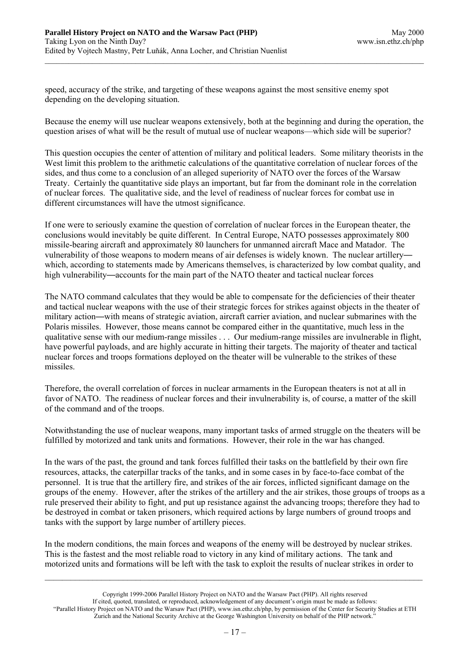speed, accuracy of the strike, and targeting of these weapons against the most sensitive enemy spot depending on the developing situation.

Because the enemy will use nuclear weapons extensively, both at the beginning and during the operation, the question arises of what will be the result of mutual use of nuclear weapons—which side will be superior?

This question occupies the center of attention of military and political leaders. Some military theorists in the West limit this problem to the arithmetic calculations of the quantitative correlation of nuclear forces of the sides, and thus come to a conclusion of an alleged superiority of NATO over the forces of the Warsaw Treaty. Certainly the quantitative side plays an important, but far from the dominant role in the correlation of nuclear forces. The qualitative side, and the level of readiness of nuclear forces for combat use in different circumstances will have the utmost significance.

If one were to seriously examine the question of correlation of nuclear forces in the European theater, the conclusions would inevitably be quite different. In Central Europe, NATO possesses approximately 800 missile-bearing aircraft and approximately 80 launchers for unmanned aircraft Mace and Matador. The vulnerability of those weapons to modern means of air defenses is widely known. The nuclear artillery which, according to statements made by Americans themselves, is characterized by low combat quality, and high vulnerability—accounts for the main part of the NATO theater and tactical nuclear forces

The NATO command calculates that they would be able to compensate for the deficiencies of their theater and tactical nuclear weapons with the use of their strategic forces for strikes against objects in the theater of military action—with means of strategic aviation, aircraft carrier aviation, and nuclear submarines with the Polaris missiles. However, those means cannot be compared either in the quantitative, much less in the qualitative sense with our medium-range missiles . . . Our medium-range missiles are invulnerable in flight, have powerful payloads, and are highly accurate in hitting their targets. The majority of theater and tactical nuclear forces and troops formations deployed on the theater will be vulnerable to the strikes of these missiles.

Therefore, the overall correlation of forces in nuclear armaments in the European theaters is not at all in favor of NATO. The readiness of nuclear forces and their invulnerability is, of course, a matter of the skill of the command and of the troops.

Notwithstanding the use of nuclear weapons, many important tasks of armed struggle on the theaters will be fulfilled by motorized and tank units and formations. However, their role in the war has changed.

In the wars of the past, the ground and tank forces fulfilled their tasks on the battlefield by their own fire resources, attacks, the caterpillar tracks of the tanks, and in some cases in by face-to-face combat of the personnel. It is true that the artillery fire, and strikes of the air forces, inflicted significant damage on the groups of the enemy. However, after the strikes of the artillery and the air strikes, those groups of troops as a rule preserved their ability to fight, and put up resistance against the advancing troops; therefore they had to be destroyed in combat or taken prisoners, which required actions by large numbers of ground troops and tanks with the support by large number of artillery pieces.

In the modern conditions, the main forces and weapons of the enemy will be destroyed by nuclear strikes. This is the fastest and the most reliable road to victory in any kind of military actions. The tank and motorized units and formations will be left with the task to exploit the results of nuclear strikes in order to

Copyright 1999-2006 Parallel History Project on NATO and the Warsaw Pact (PHP). All rights reserved If cited, quoted, translated, or reproduced, acknowledgement of any document's origin must be made as follows: "Parallel History Project on NATO and the Warsaw Pact (PHP), www.isn.ethz.ch/php, by permission of the Center for Security Studies at ETH Zurich and the National Security Archive at the George Washington University on behalf of the PHP network."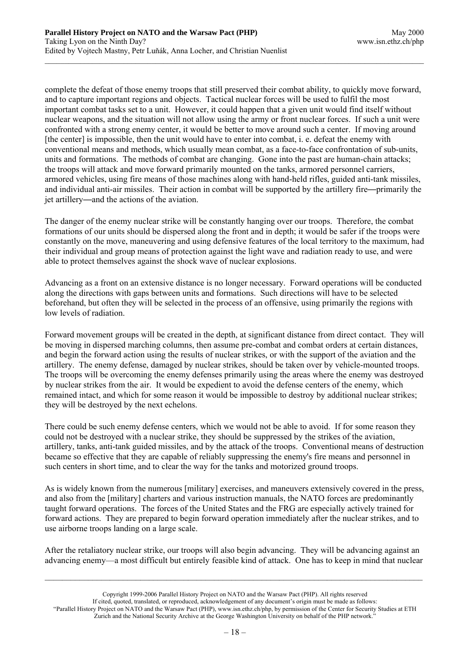complete the defeat of those enemy troops that still preserved their combat ability, to quickly move forward, and to capture important regions and objects. Tactical nuclear forces will be used to fulfil the most important combat tasks set to a unit. However, it could happen that a given unit would find itself without nuclear weapons, and the situation will not allow using the army or front nuclear forces. If such a unit were confronted with a strong enemy center, it would be better to move around such a center. If moving around [the center] is impossible, then the unit would have to enter into combat, i. e. defeat the enemy with conventional means and methods, which usually mean combat, as a face-to-face confrontation of sub-units, units and formations. The methods of combat are changing. Gone into the past are human-chain attacks; the troops will attack and move forward primarily mounted on the tanks, armored personnel carriers, armored vehicles, using fire means of those machines along with hand-held rifles, guided anti-tank missiles, and individual anti-air missiles. Their action in combat will be supported by the artillery fire—primarily the jet artillery—and the actions of the aviation.

The danger of the enemy nuclear strike will be constantly hanging over our troops. Therefore, the combat formations of our units should be dispersed along the front and in depth; it would be safer if the troops were constantly on the move, maneuvering and using defensive features of the local territory to the maximum, had their individual and group means of protection against the light wave and radiation ready to use, and were able to protect themselves against the shock wave of nuclear explosions.

Advancing as a front on an extensive distance is no longer necessary. Forward operations will be conducted along the directions with gaps between units and formations. Such directions will have to be selected beforehand, but often they will be selected in the process of an offensive, using primarily the regions with low levels of radiation.

Forward movement groups will be created in the depth, at significant distance from direct contact. They will be moving in dispersed marching columns, then assume pre-combat and combat orders at certain distances, and begin the forward action using the results of nuclear strikes, or with the support of the aviation and the artillery. The enemy defense, damaged by nuclear strikes, should be taken over by vehicle-mounted troops. The troops will be overcoming the enemy defenses primarily using the areas where the enemy was destroyed by nuclear strikes from the air. It would be expedient to avoid the defense centers of the enemy, which remained intact, and which for some reason it would be impossible to destroy by additional nuclear strikes; they will be destroyed by the next echelons.

There could be such enemy defense centers, which we would not be able to avoid. If for some reason they could not be destroyed with a nuclear strike, they should be suppressed by the strikes of the aviation, artillery, tanks, anti-tank guided missiles, and by the attack of the troops. Conventional means of destruction became so effective that they are capable of reliably suppressing the enemy's fire means and personnel in such centers in short time, and to clear the way for the tanks and motorized ground troops.

As is widely known from the numerous [military] exercises, and maneuvers extensively covered in the press, and also from the [military] charters and various instruction manuals, the NATO forces are predominantly taught forward operations. The forces of the United States and the FRG are especially actively trained for forward actions. They are prepared to begin forward operation immediately after the nuclear strikes, and to use airborne troops landing on a large scale.

After the retaliatory nuclear strike, our troops will also begin advancing. They will be advancing against an advancing enemy—a most difficult but entirely feasible kind of attack. One has to keep in mind that nuclear

 $\_$ 

If cited, quoted, translated, or reproduced, acknowledgement of any document's origin must be made as follows:

Copyright 1999-2006 Parallel History Project on NATO and the Warsaw Pact (PHP). All rights reserved

<sup>&</sup>quot;Parallel History Project on NATO and the Warsaw Pact (PHP), www.isn.ethz.ch/php, by permission of the Center for Security Studies at ETH Zurich and the National Security Archive at the George Washington University on behalf of the PHP network."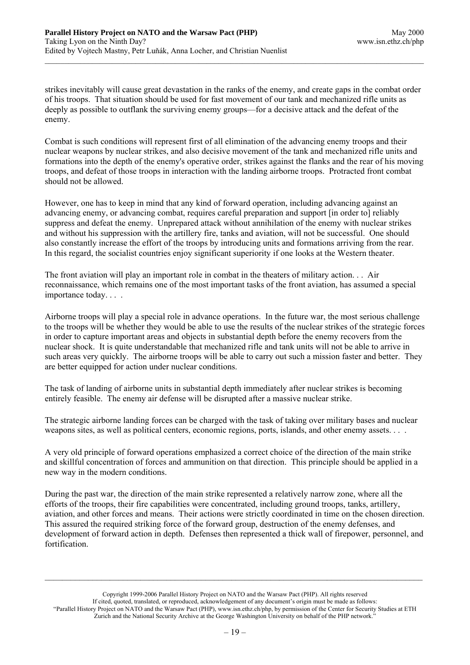strikes inevitably will cause great devastation in the ranks of the enemy, and create gaps in the combat order of his troops. That situation should be used for fast movement of our tank and mechanized rifle units as deeply as possible to outflank the surviving enemy groups—for a decisive attack and the defeat of the enemy.

Combat is such conditions will represent first of all elimination of the advancing enemy troops and their nuclear weapons by nuclear strikes, and also decisive movement of the tank and mechanized rifle units and formations into the depth of the enemy's operative order, strikes against the flanks and the rear of his moving troops, and defeat of those troops in interaction with the landing airborne troops. Protracted front combat should not be allowed.

However, one has to keep in mind that any kind of forward operation, including advancing against an advancing enemy, or advancing combat, requires careful preparation and support [in order to] reliably suppress and defeat the enemy. Unprepared attack without annihilation of the enemy with nuclear strikes and without his suppression with the artillery fire, tanks and aviation, will not be successful. One should also constantly increase the effort of the troops by introducing units and formations arriving from the rear. In this regard, the socialist countries enjoy significant superiority if one looks at the Western theater.

The front aviation will play an important role in combat in the theaters of military action. . . Air reconnaissance, which remains one of the most important tasks of the front aviation, has assumed a special importance today. . . .

Airborne troops will play a special role in advance operations. In the future war, the most serious challenge to the troops will be whether they would be able to use the results of the nuclear strikes of the strategic forces in order to capture important areas and objects in substantial depth before the enemy recovers from the nuclear shock. It is quite understandable that mechanized rifle and tank units will not be able to arrive in such areas very quickly. The airborne troops will be able to carry out such a mission faster and better. They are better equipped for action under nuclear conditions.

The task of landing of airborne units in substantial depth immediately after nuclear strikes is becoming entirely feasible. The enemy air defense will be disrupted after a massive nuclear strike.

The strategic airborne landing forces can be charged with the task of taking over military bases and nuclear weapons sites, as well as political centers, economic regions, ports, islands, and other enemy assets. . . .

A very old principle of forward operations emphasized a correct choice of the direction of the main strike and skillful concentration of forces and ammunition on that direction. This principle should be applied in a new way in the modern conditions.

During the past war, the direction of the main strike represented a relatively narrow zone, where all the efforts of the troops, their fire capabilities were concentrated, including ground troops, tanks, artillery, aviation, and other forces and means. Their actions were strictly coordinated in time on the chosen direction. This assured the required striking force of the forward group, destruction of the enemy defenses, and development of forward action in depth. Defenses then represented a thick wall of firepower, personnel, and fortification.

Copyright 1999-2006 Parallel History Project on NATO and the Warsaw Pact (PHP). All rights reserved If cited, quoted, translated, or reproduced, acknowledgement of any document's origin must be made as follows: "Parallel History Project on NATO and the Warsaw Pact (PHP), www.isn.ethz.ch/php, by permission of the Center for Security Studies at ETH Zurich and the National Security Archive at the George Washington University on behalf of the PHP network."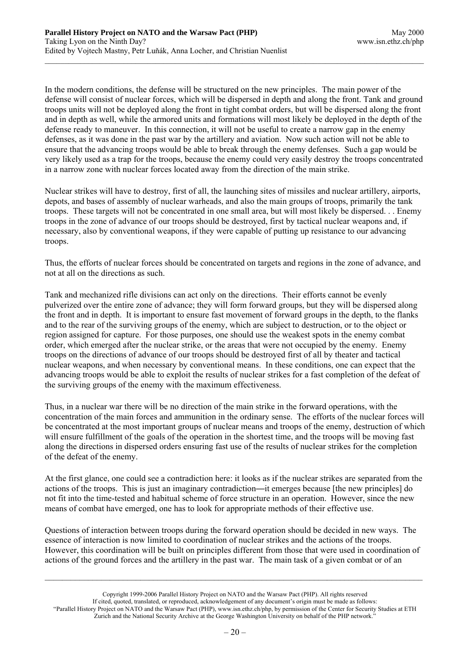In the modern conditions, the defense will be structured on the new principles. The main power of the defense will consist of nuclear forces, which will be dispersed in depth and along the front. Tank and ground troops units will not be deployed along the front in tight combat orders, but will be dispersed along the front and in depth as well, while the armored units and formations will most likely be deployed in the depth of the defense ready to maneuver. In this connection, it will not be useful to create a narrow gap in the enemy defenses, as it was done in the past war by the artillery and aviation. Now such action will not be able to ensure that the advancing troops would be able to break through the enemy defenses. Such a gap would be very likely used as a trap for the troops, because the enemy could very easily destroy the troops concentrated in a narrow zone with nuclear forces located away from the direction of the main strike.

Nuclear strikes will have to destroy, first of all, the launching sites of missiles and nuclear artillery, airports, depots, and bases of assembly of nuclear warheads, and also the main groups of troops, primarily the tank troops. These targets will not be concentrated in one small area, but will most likely be dispersed. . . Enemy troops in the zone of advance of our troops should be destroyed, first by tactical nuclear weapons and, if necessary, also by conventional weapons, if they were capable of putting up resistance to our advancing troops.

Thus, the efforts of nuclear forces should be concentrated on targets and regions in the zone of advance, and not at all on the directions as such.

Tank and mechanized rifle divisions can act only on the directions. Their efforts cannot be evenly pulverized over the entire zone of advance; they will form forward groups, but they will be dispersed along the front and in depth. It is important to ensure fast movement of forward groups in the depth, to the flanks and to the rear of the surviving groups of the enemy, which are subject to destruction, or to the object or region assigned for capture. For those purposes, one should use the weakest spots in the enemy combat order, which emerged after the nuclear strike, or the areas that were not occupied by the enemy. Enemy troops on the directions of advance of our troops should be destroyed first of all by theater and tactical nuclear weapons, and when necessary by conventional means. In these conditions, one can expect that the advancing troops would be able to exploit the results of nuclear strikes for a fast completion of the defeat of the surviving groups of the enemy with the maximum effectiveness.

Thus, in a nuclear war there will be no direction of the main strike in the forward operations, with the concentration of the main forces and ammunition in the ordinary sense. The efforts of the nuclear forces will be concentrated at the most important groups of nuclear means and troops of the enemy, destruction of which will ensure fulfillment of the goals of the operation in the shortest time, and the troops will be moving fast along the directions in dispersed orders ensuring fast use of the results of nuclear strikes for the completion of the defeat of the enemy.

At the first glance, one could see a contradiction here: it looks as if the nuclear strikes are separated from the actions of the troops. This is just an imaginary contradiction—it emerges because [the new principles] do not fit into the time-tested and habitual scheme of force structure in an operation. However, since the new means of combat have emerged, one has to look for appropriate methods of their effective use.

Questions of interaction between troops during the forward operation should be decided in new ways. The essence of interaction is now limited to coordination of nuclear strikes and the actions of the troops. However, this coordination will be built on principles different from those that were used in coordination of actions of the ground forces and the artillery in the past war. The main task of a given combat or of an

Copyright 1999-2006 Parallel History Project on NATO and the Warsaw Pact (PHP). All rights reserved If cited, quoted, translated, or reproduced, acknowledgement of any document's origin must be made as follows: "Parallel History Project on NATO and the Warsaw Pact (PHP), www.isn.ethz.ch/php, by permission of the Center for Security Studies at ETH Zurich and the National Security Archive at the George Washington University on behalf of the PHP network."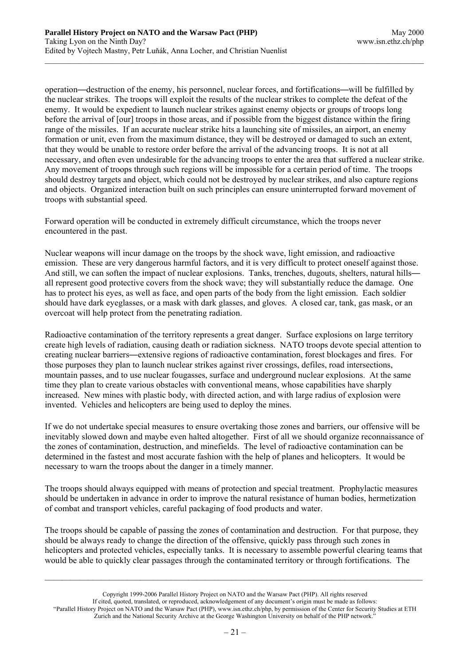operation—destruction of the enemy, his personnel, nuclear forces, and fortifications—will be fulfilled by the nuclear strikes. The troops will exploit the results of the nuclear strikes to complete the defeat of the enemy. It would be expedient to launch nuclear strikes against enemy objects or groups of troops long before the arrival of [our] troops in those areas, and if possible from the biggest distance within the firing range of the missiles. If an accurate nuclear strike hits a launching site of missiles, an airport, an enemy formation or unit, even from the maximum distance, they will be destroyed or damaged to such an extent, that they would be unable to restore order before the arrival of the advancing troops. It is not at all necessary, and often even undesirable for the advancing troops to enter the area that suffered a nuclear strike. Any movement of troops through such regions will be impossible for a certain period of time. The troops should destroy targets and object, which could not be destroyed by nuclear strikes, and also capture regions and objects. Organized interaction built on such principles can ensure uninterrupted forward movement of troops with substantial speed.

Forward operation will be conducted in extremely difficult circumstance, which the troops never encountered in the past.

Nuclear weapons will incur damage on the troops by the shock wave, light emission, and radioactive emission. These are very dangerous harmful factors, and it is very difficult to protect oneself against those. And still, we can soften the impact of nuclear explosions. Tanks, trenches, dugouts, shelters, natural hills all represent good protective covers from the shock wave; they will substantially reduce the damage. One has to protect his eyes, as well as face, and open parts of the body from the light emission. Each soldier should have dark eyeglasses, or a mask with dark glasses, and gloves. A closed car, tank, gas mask, or an overcoat will help protect from the penetrating radiation.

Radioactive contamination of the territory represents a great danger. Surface explosions on large territory create high levels of radiation, causing death or radiation sickness. NATO troops devote special attention to creating nuclear barriers—extensive regions of radioactive contamination, forest blockages and fires. For those purposes they plan to launch nuclear strikes against river crossings, defiles, road intersections, mountain passes, and to use nuclear fougasses, surface and underground nuclear explosions. At the same time they plan to create various obstacles with conventional means, whose capabilities have sharply increased. New mines with plastic body, with directed action, and with large radius of explosion were invented. Vehicles and helicopters are being used to deploy the mines.

If we do not undertake special measures to ensure overtaking those zones and barriers, our offensive will be inevitably slowed down and maybe even halted altogether. First of all we should organize reconnaissance of the zones of contamination, destruction, and minefields. The level of radioactive contamination can be determined in the fastest and most accurate fashion with the help of planes and helicopters. It would be necessary to warn the troops about the danger in a timely manner.

The troops should always equipped with means of protection and special treatment. Prophylactic measures should be undertaken in advance in order to improve the natural resistance of human bodies, hermetization of combat and transport vehicles, careful packaging of food products and water.

The troops should be capable of passing the zones of contamination and destruction. For that purpose, they should be always ready to change the direction of the offensive, quickly pass through such zones in helicopters and protected vehicles, especially tanks. It is necessary to assemble powerful clearing teams that would be able to quickly clear passages through the contaminated territory or through fortifications. The

Copyright 1999-2006 Parallel History Project on NATO and the Warsaw Pact (PHP). All rights reserved If cited, quoted, translated, or reproduced, acknowledgement of any document's origin must be made as follows: "Parallel History Project on NATO and the Warsaw Pact (PHP), www.isn.ethz.ch/php, by permission of the Center for Security Studies at ETH Zurich and the National Security Archive at the George Washington University on behalf of the PHP network."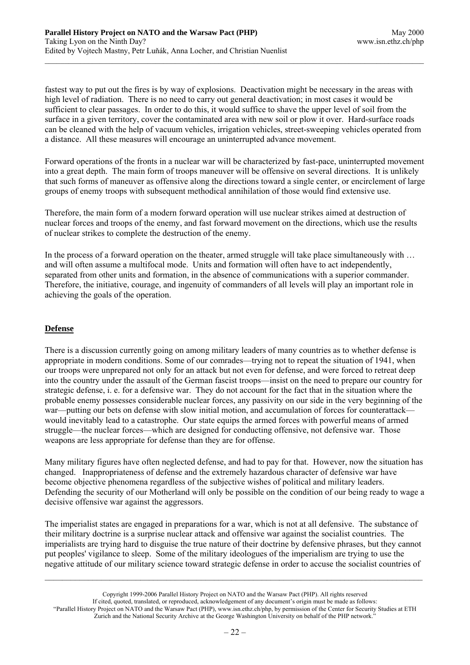fastest way to put out the fires is by way of explosions. Deactivation might be necessary in the areas with high level of radiation. There is no need to carry out general deactivation; in most cases it would be sufficient to clear passages. In order to do this, it would suffice to shave the upper level of soil from the surface in a given territory, cover the contaminated area with new soil or plow it over. Hard-surface roads can be cleaned with the help of vacuum vehicles, irrigation vehicles, street-sweeping vehicles operated from a distance. All these measures will encourage an uninterrupted advance movement.

Forward operations of the fronts in a nuclear war will be characterized by fast-pace, uninterrupted movement into a great depth. The main form of troops maneuver will be offensive on several directions. It is unlikely that such forms of maneuver as offensive along the directions toward a single center, or encirclement of large groups of enemy troops with subsequent methodical annihilation of those would find extensive use.

Therefore, the main form of a modern forward operation will use nuclear strikes aimed at destruction of nuclear forces and troops of the enemy, and fast forward movement on the directions, which use the results of nuclear strikes to complete the destruction of the enemy.

In the process of a forward operation on the theater, armed struggle will take place simultaneously with ... and will often assume a multifocal mode. Units and formation will often have to act independently, separated from other units and formation, in the absence of communications with a superior commander. Therefore, the initiative, courage, and ingenuity of commanders of all levels will play an important role in achieving the goals of the operation.

### **Defense**

There is a discussion currently going on among military leaders of many countries as to whether defense is appropriate in modern conditions. Some of our comrades—trying not to repeat the situation of 1941, when our troops were unprepared not only for an attack but not even for defense, and were forced to retreat deep into the country under the assault of the German fascist troops—insist on the need to prepare our country for strategic defense, i. e. for a defensive war. They do not account for the fact that in the situation where the probable enemy possesses considerable nuclear forces, any passivity on our side in the very beginning of the war—putting our bets on defense with slow initial motion, and accumulation of forces for counterattack would inevitably lead to a catastrophe. Our state equips the armed forces with powerful means of armed struggle—the nuclear forces—which are designed for conducting offensive, not defensive war. Those weapons are less appropriate for defense than they are for offense.

Many military figures have often neglected defense, and had to pay for that. However, now the situation has changed. Inappropriateness of defense and the extremely hazardous character of defensive war have become objective phenomena regardless of the subjective wishes of political and military leaders. Defending the security of our Motherland will only be possible on the condition of our being ready to wage a decisive offensive war against the aggressors.

The imperialist states are engaged in preparations for a war, which is not at all defensive. The substance of their military doctrine is a surprise nuclear attack and offensive war against the socialist countries. The imperialists are trying hard to disguise the true nature of their doctrine by defensive phrases, but they cannot put peoples' vigilance to sleep. Some of the military ideologues of the imperialism are trying to use the negative attitude of our military science toward strategic defense in order to accuse the socialist countries of

Copyright 1999-2006 Parallel History Project on NATO and the Warsaw Pact (PHP). All rights reserved If cited, quoted, translated, or reproduced, acknowledgement of any document's origin must be made as follows: "Parallel History Project on NATO and the Warsaw Pact (PHP), www.isn.ethz.ch/php, by permission of the Center for Security Studies at ETH Zurich and the National Security Archive at the George Washington University on behalf of the PHP network."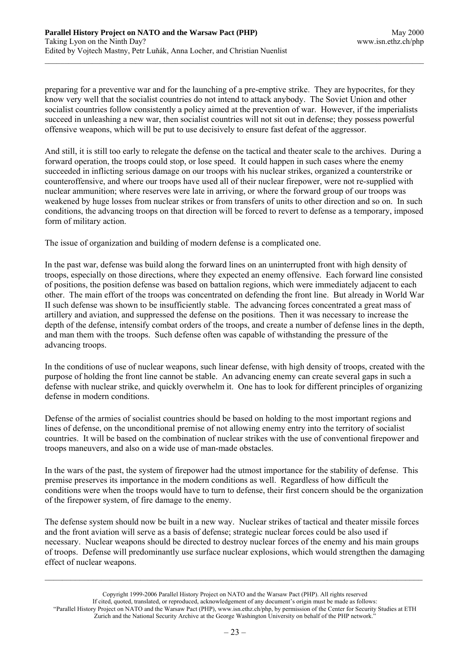preparing for a preventive war and for the launching of a pre-emptive strike. They are hypocrites, for they know very well that the socialist countries do not intend to attack anybody. The Soviet Union and other socialist countries follow consistently a policy aimed at the prevention of war. However, if the imperialists succeed in unleashing a new war, then socialist countries will not sit out in defense; they possess powerful offensive weapons, which will be put to use decisively to ensure fast defeat of the aggressor.

And still, it is still too early to relegate the defense on the tactical and theater scale to the archives. During a forward operation, the troops could stop, or lose speed. It could happen in such cases where the enemy succeeded in inflicting serious damage on our troops with his nuclear strikes, organized a counterstrike or counteroffensive, and where our troops have used all of their nuclear firepower, were not re-supplied with nuclear ammunition; where reserves were late in arriving, or where the forward group of our troops was weakened by huge losses from nuclear strikes or from transfers of units to other direction and so on. In such conditions, the advancing troops on that direction will be forced to revert to defense as a temporary, imposed form of military action.

The issue of organization and building of modern defense is a complicated one.

In the past war, defense was build along the forward lines on an uninterrupted front with high density of troops, especially on those directions, where they expected an enemy offensive. Each forward line consisted of positions, the position defense was based on battalion regions, which were immediately adjacent to each other. The main effort of the troops was concentrated on defending the front line. But already in World War II such defense was shown to be insufficiently stable. The advancing forces concentrated a great mass of artillery and aviation, and suppressed the defense on the positions. Then it was necessary to increase the depth of the defense, intensify combat orders of the troops, and create a number of defense lines in the depth, and man them with the troops. Such defense often was capable of withstanding the pressure of the advancing troops.

In the conditions of use of nuclear weapons, such linear defense, with high density of troops, created with the purpose of holding the front line cannot be stable. An advancing enemy can create several gaps in such a defense with nuclear strike, and quickly overwhelm it. One has to look for different principles of organizing defense in modern conditions.

Defense of the armies of socialist countries should be based on holding to the most important regions and lines of defense, on the unconditional premise of not allowing enemy entry into the territory of socialist countries. It will be based on the combination of nuclear strikes with the use of conventional firepower and troops maneuvers, and also on a wide use of man-made obstacles.

In the wars of the past, the system of firepower had the utmost importance for the stability of defense. This premise preserves its importance in the modern conditions as well. Regardless of how difficult the conditions were when the troops would have to turn to defense, their first concern should be the organization of the firepower system, of fire damage to the enemy.

The defense system should now be built in a new way. Nuclear strikes of tactical and theater missile forces and the front aviation will serve as a basis of defense; strategic nuclear forces could be also used if necessary. Nuclear weapons should be directed to destroy nuclear forces of the enemy and his main groups of troops. Defense will predominantly use surface nuclear explosions, which would strengthen the damaging effect of nuclear weapons.

Copyright 1999-2006 Parallel History Project on NATO and the Warsaw Pact (PHP). All rights reserved If cited, quoted, translated, or reproduced, acknowledgement of any document's origin must be made as follows: "Parallel History Project on NATO and the Warsaw Pact (PHP), www.isn.ethz.ch/php, by permission of the Center for Security Studies at ETH Zurich and the National Security Archive at the George Washington University on behalf of the PHP network."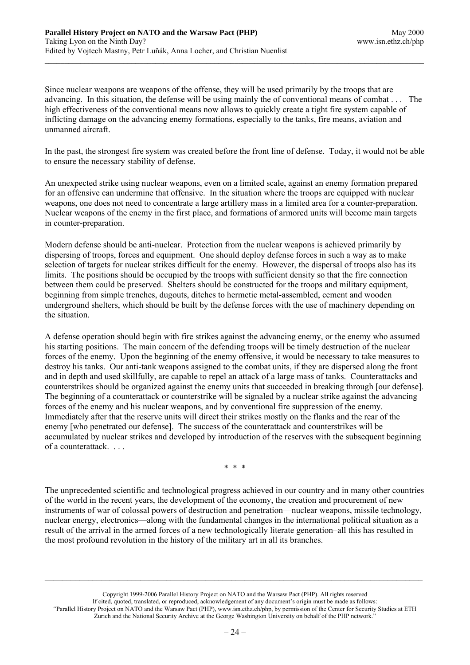Since nuclear weapons are weapons of the offense, they will be used primarily by the troops that are advancing. In this situation, the defense will be using mainly the of conventional means of combat . . . The high effectiveness of the conventional means now allows to quickly create a tight fire system capable of inflicting damage on the advancing enemy formations, especially to the tanks, fire means, aviation and unmanned aircraft.

In the past, the strongest fire system was created before the front line of defense. Today, it would not be able to ensure the necessary stability of defense.

An unexpected strike using nuclear weapons, even on a limited scale, against an enemy formation prepared for an offensive can undermine that offensive. In the situation where the troops are equipped with nuclear weapons, one does not need to concentrate a large artillery mass in a limited area for a counter-preparation. Nuclear weapons of the enemy in the first place, and formations of armored units will become main targets in counter-preparation.

Modern defense should be anti-nuclear. Protection from the nuclear weapons is achieved primarily by dispersing of troops, forces and equipment. One should deploy defense forces in such a way as to make selection of targets for nuclear strikes difficult for the enemy. However, the dispersal of troops also has its limits. The positions should be occupied by the troops with sufficient density so that the fire connection between them could be preserved. Shelters should be constructed for the troops and military equipment, beginning from simple trenches, dugouts, ditches to hermetic metal-assembled, cement and wooden underground shelters, which should be built by the defense forces with the use of machinery depending on the situation.

A defense operation should begin with fire strikes against the advancing enemy, or the enemy who assumed his starting positions. The main concern of the defending troops will be timely destruction of the nuclear forces of the enemy. Upon the beginning of the enemy offensive, it would be necessary to take measures to destroy his tanks. Our anti-tank weapons assigned to the combat units, if they are dispersed along the front and in depth and used skillfully, are capable to repel an attack of a large mass of tanks. Counterattacks and counterstrikes should be organized against the enemy units that succeeded in breaking through [our defense]. The beginning of a counterattack or counterstrike will be signaled by a nuclear strike against the advancing forces of the enemy and his nuclear weapons, and by conventional fire suppression of the enemy. Immediately after that the reserve units will direct their strikes mostly on the flanks and the rear of the enemy [who penetrated our defense]. The success of the counterattack and counterstrikes will be accumulated by nuclear strikes and developed by introduction of the reserves with the subsequent beginning of a counterattack. . . .

\* \* \*

The unprecedented scientific and technological progress achieved in our country and in many other countries of the world in the recent years, the development of the economy, the creation and procurement of new instruments of war of colossal powers of destruction and penetration—nuclear weapons, missile technology, nuclear energy, electronics—along with the fundamental changes in the international political situation as a result of the arrival in the armed forces of a new technologically literate generation–all this has resulted in the most profound revolution in the history of the military art in all its branches.

Copyright 1999-2006 Parallel History Project on NATO and the Warsaw Pact (PHP). All rights reserved If cited, quoted, translated, or reproduced, acknowledgement of any document's origin must be made as follows: "Parallel History Project on NATO and the Warsaw Pact (PHP), www.isn.ethz.ch/php, by permission of the Center for Security Studies at ETH Zurich and the National Security Archive at the George Washington University on behalf of the PHP network."